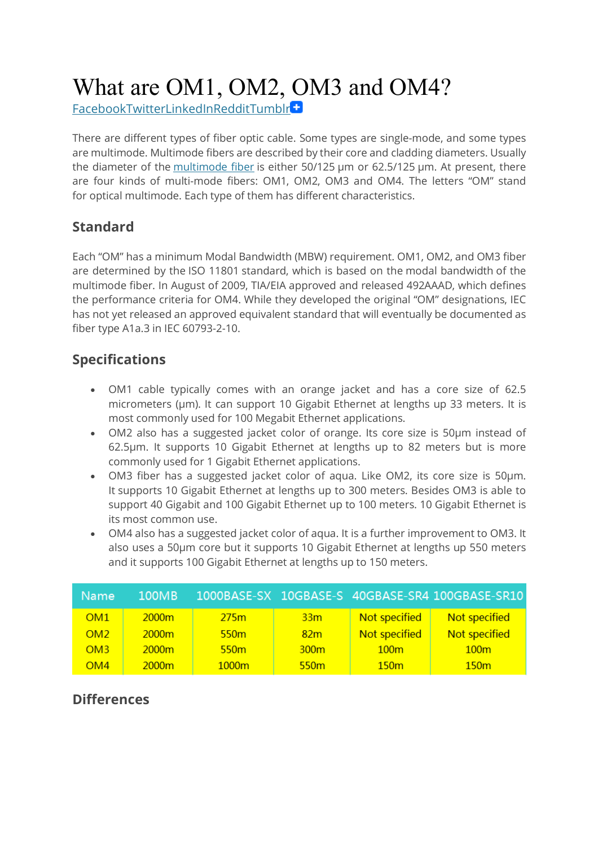# What are OM1, OM2, OM3 and OM4?

FacebookTwitterLinkedInRedditTumblr

There are different types of fiber optic cable. Some types are single-mode, and some types are multimode. Multimode fibers are described by their core and cladding diameters. Usually the diameter of the multimode fiber is either 50/125 µm or 62.5/125 µm. At present, there are four kinds of multi-mode fibers: OM1, OM2, OM3 and OM4. The letters "OM" stand for optical multimode. Each type of them has different characteristics.

## **Standard**

Each "OM" has a minimum Modal Bandwidth (MBW) requirement. OM1, OM2, and OM3 fiber are determined by the ISO 11801 standard, which is based on the modal bandwidth of the multimode fiber. In August of 2009, TIA/EIA approved and released 492AAAD, which defines the performance criteria for OM4. While they developed the original "OM" designations, IEC has not yet released an approved equivalent standard that will eventually be documented as fiber type A1a.3 in IEC 60793-2-10.

# **Specifications**

- OM1 cable typically comes with an orange jacket and has a core size of 62.5 micrometers (µm). It can support 10 Gigabit Ethernet at lengths up 33 meters. It is most commonly used for 100 Megabit Ethernet applications.
- OM2 also has a suggested jacket color of orange. Its core size is 50µm instead of 62.5µm. It supports 10 Gigabit Ethernet at lengths up to 82 meters but is more commonly used for 1 Gigabit Ethernet applications.
- OM3 fiber has a suggested jacket color of aqua. Like OM2, its core size is 50µm. It supports 10 Gigabit Ethernet at lengths up to 300 meters. Besides OM3 is able to support 40 Gigabit and 100 Gigabit Ethernet up to 100 meters. 10 Gigabit Ethernet is its most common use.
- OM4 also has a suggested jacket color of aqua. It is a further improvement to OM3. It also uses a 50µm core but it supports 10 Gigabit Ethernet at lengths up 550 meters and it supports 100 Gigabit Ethernet at lengths up to 150 meters.

| Name:           | 100MB |                  |                  |                  | 1000BASE-SX 10GBASE-S 40GBASE-SR4 100GBASE-SR10 |
|-----------------|-------|------------------|------------------|------------------|-------------------------------------------------|
| OM1             | 2000m | 275m             | 33 <sub>m</sub>  | Not specified    | Not specified                                   |
| OM <sub>2</sub> | 2000m | 550 <sub>m</sub> | 82m              | Not specified    | Not specified                                   |
| OM <sub>3</sub> | 2000m | 550 <sub>m</sub> | 300 <sub>m</sub> | 100 <sub>m</sub> | 100 <sub>m</sub>                                |
| OM4             | 2000m | 1000m            | 550 <sub>m</sub> | 150 <sub>m</sub> | 150m                                            |

#### **Differences**